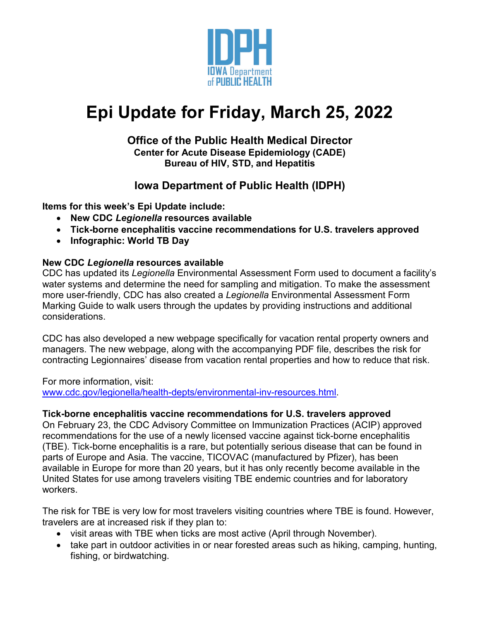

# **Epi Update for Friday, March 25, 2022**

### **Office of the Public Health Medical Director Center for Acute Disease Epidemiology (CADE) Bureau of HIV, STD, and Hepatitis**

## **Iowa Department of Public Health (IDPH)**

**Items for this week's Epi Update include:**

- **New CDC** *Legionella* **resources available**
- **Tick-borne encephalitis vaccine recommendations for U.S. travelers approved**
- **Infographic: World TB Day**

### **New CDC** *Legionella* **resources available**

CDC has updated its *Legionella* Environmental Assessment Form used to document a facility's water systems and determine the need for sampling and mitigation. To make the assessment more user-friendly, CDC has also created a *Legionella* Environmental Assessment Form Marking Guide to walk users through the updates by providing instructions and additional considerations.

CDC has also developed a new webpage specifically for vacation rental property owners and managers. The new webpage, along with the accompanying PDF file, describes the risk for contracting Legionnaires' disease from vacation rental properties and how to reduce that risk.

For more information, visit: [www.cdc.gov/legionella/health-depts/environmental-inv-resources.html.](http://www.cdc.gov/legionella/health-depts/environmental-inv-resources.html)

### **Tick-borne encephalitis vaccine recommendations for U.S. travelers approved**

On February 23, the CDC Advisory Committee on Immunization Practices (ACIP) approved recommendations for the use of a newly licensed vaccine against tick-borne encephalitis (TBE). Tick-borne encephalitis is a rare, but potentially serious disease that can be found in parts of Europe and Asia. The vaccine, TICOVAC (manufactured by Pfizer), has been available in Europe for more than 20 years, but it has only recently become available in the United States for use among travelers visiting TBE endemic countries and for laboratory workers.

The risk for TBE is very low for most travelers visiting countries where TBE is found. However, travelers are at increased risk if they plan to:

- visit areas with TBE when ticks are most active (April through November).
- take part in outdoor activities in or near forested areas such as hiking, camping, hunting, fishing, or birdwatching.